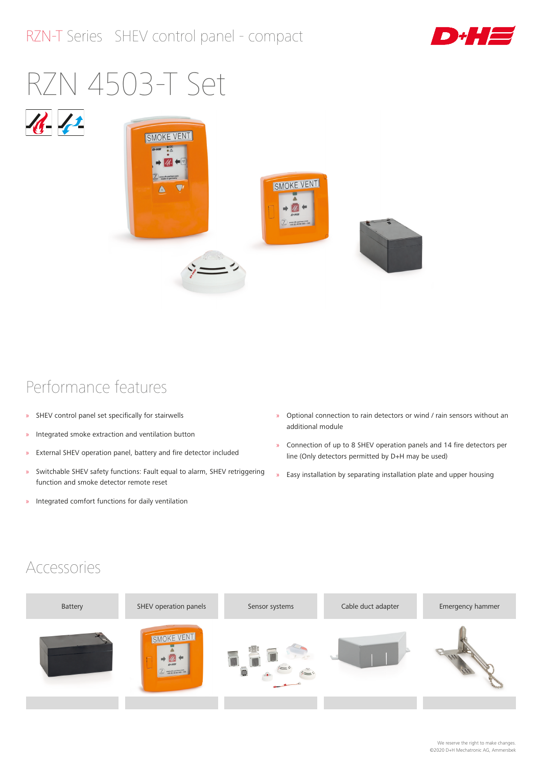

# RZN 4503-T Set





#### Performance features

- » SHEV control panel set specifically for stairwells
- » Integrated smoke extraction and ventilation button
- » External SHEV operation panel, battery and fire detector included
- » Switchable SHEV safety functions: Fault equal to alarm, SHEV retriggering function and smoke detector remote reset
- » Integrated comfort functions for daily ventilation
- » Optional connection to rain detectors or wind / rain sensors without an additional module
- » Connection of up to 8 SHEV operation panels and 14 fire detectors per line (Only detectors permitted by D+H may be used)
- » Easy installation by separating installation plate and upper housing

#### Accessories